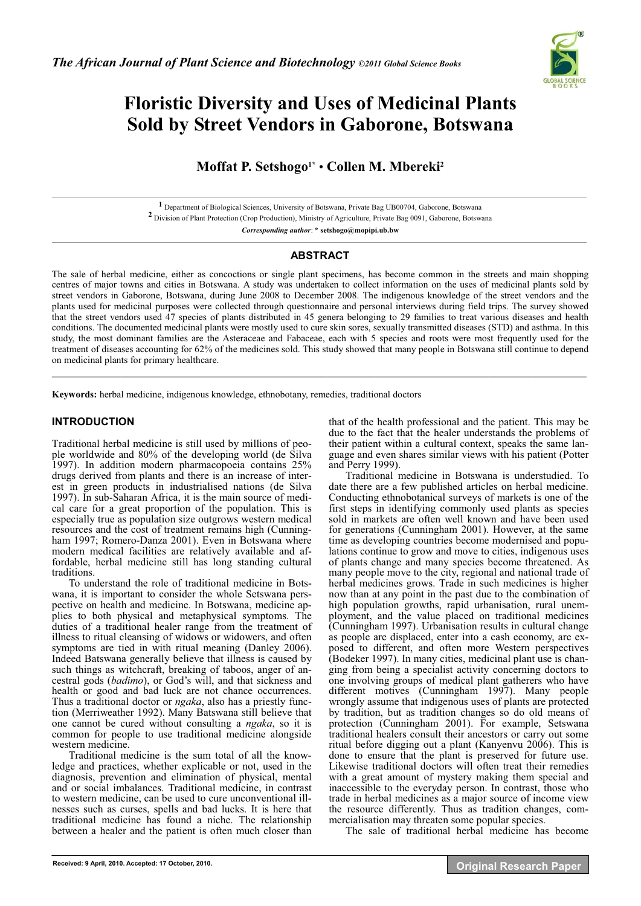

# **Floristic Diversity and Uses of Medicinal Plants Sold by Street Vendors in Gaborone, Botswana**

# **Moffat P. Setshogo1\*** • **Collen M. Mbereki2**

**1** Department of Biological Sciences, University of Botswana, Private Bag UB00704, Gaborone, Botswana **2** Division of Plant Protection (Crop Production), Ministry of Agriculture, Private Bag 0091, Gaborone, Botswana

*Corresponding author*: **\* setshogo@mopipi.ub.bw** 

# **ABSTRACT**

The sale of herbal medicine, either as concoctions or single plant specimens, has become common in the streets and main shopping centres of major towns and cities in Botswana. A study was undertaken to collect information on the uses of medicinal plants sold by street vendors in Gaborone, Botswana, during June 2008 to December 2008. The indigenous knowledge of the street vendors and the plants used for medicinal purposes were collected through questionnaire and personal interviews during field trips. The survey showed that the street vendors used 47 species of plants distributed in 45 genera belonging to 29 families to treat various diseases and health conditions. The documented medicinal plants were mostly used to cure skin sores, sexually transmitted diseases (STD) and asthma. In this study, the most dominant families are the Asteraceae and Fabaceae, each with 5 species and roots were most frequently used for the treatment of diseases accounting for 62% of the medicines sold. This study showed that many people in Botswana still continue to depend on medicinal plants for primary healthcare.  $\mathcal{L}_\mathcal{L} = \mathcal{L}_\mathcal{L} = \mathcal{L}_\mathcal{L} = \mathcal{L}_\mathcal{L} = \mathcal{L}_\mathcal{L} = \mathcal{L}_\mathcal{L} = \mathcal{L}_\mathcal{L} = \mathcal{L}_\mathcal{L} = \mathcal{L}_\mathcal{L} = \mathcal{L}_\mathcal{L} = \mathcal{L}_\mathcal{L} = \mathcal{L}_\mathcal{L} = \mathcal{L}_\mathcal{L} = \mathcal{L}_\mathcal{L} = \mathcal{L}_\mathcal{L} = \mathcal{L}_\mathcal{L} = \mathcal{L}_\mathcal{L}$ 

**Keywords:** herbal medicine, indigenous knowledge, ethnobotany, remedies, traditional doctors

# **INTRODUCTION**

Traditional herbal medicine is still used by millions of people worldwide and 80% of the developing world (de Silva 1997). In addition modern pharmacopoeia contains 25% drugs derived from plants and there is an increase of interest in green products in industrialised nations (de Silva 1997). In sub-Saharan Africa, it is the main source of medical care for a great proportion of the population. This is especially true as population size outgrows western medical resources and the cost of treatment remains high (Cunningham 1997; Romero-Danza 2001). Even in Botswana where modern medical facilities are relatively available and affordable, herbal medicine still has long standing cultural traditions.

To understand the role of traditional medicine in Botswana, it is important to consider the whole Setswana perspective on health and medicine. In Botswana, medicine applies to both physical and metaphysical symptoms. The duties of a traditional healer range from the treatment of illness to ritual cleansing of widows or widowers, and often symptoms are tied in with ritual meaning (Danley 2006). Indeed Batswana generally believe that illness is caused by such things as witchcraft, breaking of taboos, anger of ancestral gods (*badimo*), or God's will, and that sickness and health or good and bad luck are not chance occurrences. Thus a traditional doctor or *ngaka*, also has a priestly function (Merriweather 1992). Many Batswana still believe that one cannot be cured without consulting a *ngaka*, so it is common for people to use traditional medicine alongside western medicine.

Traditional medicine is the sum total of all the knowledge and practices, whether explicable or not, used in the diagnosis, prevention and elimination of physical, mental and or social imbalances. Traditional medicine, in contrast to western medicine, can be used to cure unconventional illnesses such as curses, spells and bad lucks. It is here that traditional medicine has found a niche. The relationship between a healer and the patient is often much closer than that of the health professional and the patient. This may be due to the fact that the healer understands the problems of their patient within a cultural context, speaks the same language and even shares similar views with his patient (Potter and Perry 1999).

Traditional medicine in Botswana is understudied. To date there are a few published articles on herbal medicine. Conducting ethnobotanical surveys of markets is one of the first steps in identifying commonly used plants as species sold in markets are often well known and have been used for generations (Cunningham 2001). However, at the same time as developing countries become modernised and populations continue to grow and move to cities, indigenous uses of plants change and many species become threatened. As many people move to the city, regional and national trade of herbal medicines grows. Trade in such medicines is higher now than at any point in the past due to the combination of high population growths, rapid urbanisation, rural unemployment, and the value placed on traditional medicines (Cunningham 1997). Urbanisation results in cultural change as people are displaced, enter into a cash economy, are exposed to different, and often more Western perspectives (Bodeker 1997). In many cities, medicinal plant use is changing from being a specialist activity concerning doctors to one involving groups of medical plant gatherers who have different motives (Cunningham 1997). Many people wrongly assume that indigenous uses of plants are protected by tradition, but as tradition changes so do old means of protection (Cunningham 2001). For example, Setswana traditional healers consult their ancestors or carry out some ritual before digging out a plant (Kanyenvu 2006). This is done to ensure that the plant is preserved for future use. Likewise traditional doctors will often treat their remedies with a great amount of mystery making them special and inaccessible to the everyday person. In contrast, those who trade in herbal medicines as a major source of income view the resource differently. Thus as tradition changes, commercialisation may threaten some popular species.

The sale of traditional herbal medicine has become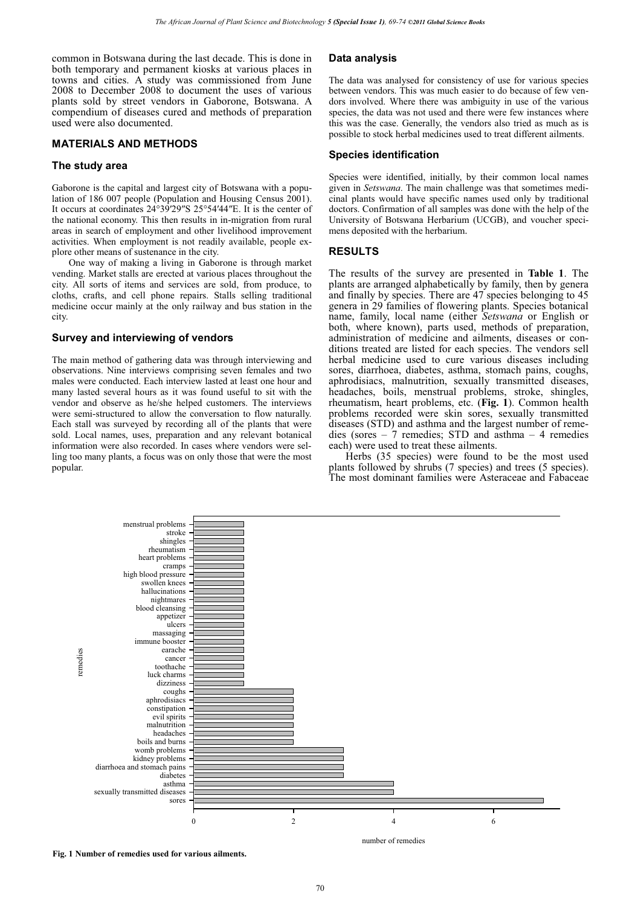common in Botswana during the last decade. This is done in both temporary and permanent kiosks at various places in towns and cities. A study was commissioned from June 2008 to December 2008 to document the uses of various plants sold by street vendors in Gaborone, Botswana. A compendium of diseases cured and methods of preparation used were also documented.

#### **MATERIALS AND METHODS**

#### **The study area**

Gaborone is the capital and largest city of Botswana with a population of 186 007 people (Population and Housing Census 2001). It occurs at coordinates 24°39'29"S 25°54'44"E. It is the center of the national economy. This then results in in-migration from rural areas in search of employment and other livelihood improvement activities. When employment is not readily available, people explore other means of sustenance in the city.

One way of making a living in Gaborone is through market vending. Market stalls are erected at various places throughout the city. All sorts of items and services are sold, from produce, to cloths, crafts, and cell phone repairs. Stalls selling traditional medicine occur mainly at the only railway and bus station in the city.

#### **Survey and interviewing of vendors**

The main method of gathering data was through interviewing and observations. Nine interviews comprising seven females and two males were conducted. Each interview lasted at least one hour and many lasted several hours as it was found useful to sit with the vendor and observe as he/she helped customers. The interviews were semi-structured to allow the conversation to flow naturally. Each stall was surveyed by recording all of the plants that were sold. Local names, uses, preparation and any relevant botanical information were also recorded. In cases where vendors were selling too many plants, a focus was on only those that were the most popular.

#### **Data analysis**

The data was analysed for consistency of use for various species between vendors. This was much easier to do because of few vendors involved. Where there was ambiguity in use of the various species, the data was not used and there were few instances where this was the case. Generally, the vendors also tried as much as is possible to stock herbal medicines used to treat different ailments.

#### **Species identification**

Species were identified, initially, by their common local names given in *Setswana*. The main challenge was that sometimes medicinal plants would have specific names used only by traditional doctors. Confirmation of all samples was done with the help of the University of Botswana Herbarium (UCGB), and voucher specimens deposited with the herbarium.

#### **RESULTS**

The results of the survey are presented in **Table 1**. The plants are arranged alphabetically by family, then by genera and finally by species. There are 47 species belonging to 45 genera in 29 families of flowering plants. Species botanical name, family, local name (either *Setswana* or English or both, where known), parts used, methods of preparation, administration of medicine and ailments, diseases or conditions treated are listed for each species. The vendors sell herbal medicine used to cure various diseases including sores, diarrhoea, diabetes, asthma, stomach pains, coughs, aphrodisiacs, malnutrition, sexually transmitted diseases, headaches, boils, menstrual problems, stroke, shingles, rheumatism, heart problems, etc. (**Fig. 1**). Common health problems recorded were skin sores, sexually transmitted diseases (STD) and asthma and the largest number of remedies (sores  $-7$  remedies; STD and asthma  $-4$  remedies each) were used to treat these ailments.

Herbs (35 species) were found to be the most used plants followed by shrubs (7 species) and trees (5 species). The most dominant families were Asteraceae and Fabaceae



**Fig. 1 Number of remedies used for various ailments.**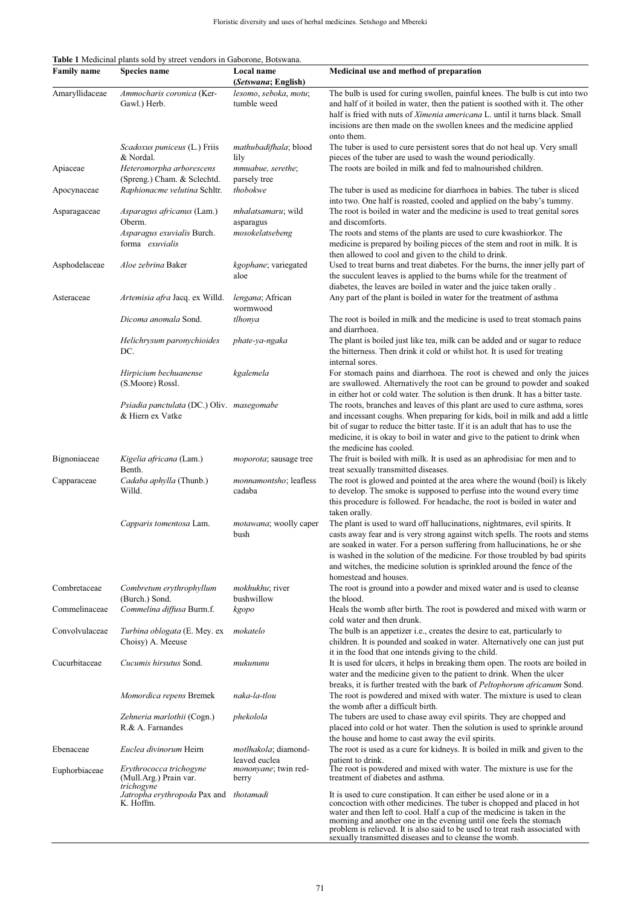**Table 1** Medicinal plants sold by street vendors in Gaborone, Botswana.

| <b>Family name</b> | Species name                                                    | Local name<br>(Setswana; English)      | Medicinal use and method of preparation                                                                                                                                                                                                                                                                                                                                                                                                       |
|--------------------|-----------------------------------------------------------------|----------------------------------------|-----------------------------------------------------------------------------------------------------------------------------------------------------------------------------------------------------------------------------------------------------------------------------------------------------------------------------------------------------------------------------------------------------------------------------------------------|
| Amaryllidaceae     | Ammocharis coronica (Ker-<br>Gawl.) Herb.                       | lesomo, seboka, motu;<br>tumble weed   | The bulb is used for curing swollen, painful knees. The bulb is cut into two<br>and half of it boiled in water, then the patient is soothed with it. The other<br>half is fried with nuts of <i>Ximenia americana</i> L. until it turns black. Small<br>incisions are then made on the swollen knees and the medicine applied<br>onto them.                                                                                                   |
|                    | <i>Scadoxus puniceus</i> (L.) Friis                             | mathubadifhala; blood                  | The tuber is used to cure persistent sores that do not heal up. Very small                                                                                                                                                                                                                                                                                                                                                                    |
|                    | & Nordal.                                                       | lily                                   | pieces of the tuber are used to wash the wound periodically.                                                                                                                                                                                                                                                                                                                                                                                  |
| Apiaceae           | Heteromorpha arborescens                                        | mmuabue, serethe;                      | The roots are boiled in milk and fed to malnourished children.                                                                                                                                                                                                                                                                                                                                                                                |
| Apocynaceae        | (Spreng.) Cham. & Sclechtd.<br>Raphionacme velutina Schltr.     | parsely tree<br>thobokwe               | The tuber is used as medicine for diarrhoea in babies. The tuber is sliced<br>into two. One half is roasted, cooled and applied on the baby's tummy.                                                                                                                                                                                                                                                                                          |
| Asparagaceae       | Asparagus africanus (Lam.)<br>Oberm.                            | mhalatsamaru; wild<br>asparagus        | The root is boiled in water and the medicine is used to treat genital sores<br>and discomforts.                                                                                                                                                                                                                                                                                                                                               |
|                    | Asparagus exuvialis Burch.<br>forma exuvialis                   | mosokelatsebeng                        | The roots and stems of the plants are used to cure kwashiorkor. The<br>medicine is prepared by boiling pieces of the stem and root in milk. It is<br>then allowed to cool and given to the child to drink.                                                                                                                                                                                                                                    |
| Asphodelaceae      | Aloe zebrina Baker                                              | kgophane; variegated<br>aloe           | Used to treat burns and treat diabetes. For the burns, the inner jelly part of<br>the succulent leaves is applied to the burns while for the treatment of<br>diabetes, the leaves are boiled in water and the juice taken orally.                                                                                                                                                                                                             |
| Asteraceae         | Artemisia afra Jacq. ex Willd.                                  | lengana; African<br>wormwood           | Any part of the plant is boiled in water for the treatment of asthma                                                                                                                                                                                                                                                                                                                                                                          |
|                    | Dicoma anomala Sond.                                            | tlhonya                                | The root is boiled in milk and the medicine is used to treat stomach pains<br>and diarrhoea.                                                                                                                                                                                                                                                                                                                                                  |
|                    | Helichrysum paronychioides<br>DC.                               | phate-ya-ngaka                         | The plant is boiled just like tea, milk can be added and or sugar to reduce<br>the bitterness. Then drink it cold or whilst hot. It is used for treating<br>internal sores.                                                                                                                                                                                                                                                                   |
|                    | Hirpicium bechuanense<br>(S.Moore) Rossl.                       | kgalemela                              | For stomach pains and diarrhoea. The root is chewed and only the juices<br>are swallowed. Alternatively the root can be ground to powder and soaked<br>in either hot or cold water. The solution is then drunk. It has a bitter taste.                                                                                                                                                                                                        |
|                    | Psiadia panctulata (DC.) Oliv. masegomabe<br>& Hiern ex Vatke   |                                        | The roots, branches and leaves of this plant are used to cure asthma, sores<br>and incessant coughs. When preparing for kids, boil in milk and add a little<br>bit of sugar to reduce the bitter taste. If it is an adult that has to use the<br>medicine, it is okay to boil in water and give to the patient to drink when                                                                                                                  |
| Bignoniaceae       | Kigelia africana (Lam.)                                         | <i>moporota</i> ; sausage tree         | the medicine has cooled.<br>The fruit is boiled with milk. It is used as an aphrodisiac for men and to                                                                                                                                                                                                                                                                                                                                        |
| Capparaceae        | Benth.<br>Cadaba aphylla (Thunb.)                               | <i>monnamontsho</i> ; leafless         | treat sexually transmitted diseases.<br>The root is glowed and pointed at the area where the wound (boil) is likely                                                                                                                                                                                                                                                                                                                           |
|                    | Willd.                                                          | cadaba                                 | to develop. The smoke is supposed to perfuse into the wound every time<br>this procedure is followed. For headache, the root is boiled in water and                                                                                                                                                                                                                                                                                           |
|                    | Capparis tomentosa Lam.                                         | <i>motawana</i> ; woolly caper<br>bush | taken orally.<br>The plant is used to ward off hallucinations, nightmares, evil spirits. It<br>casts away fear and is very strong against witch spells. The roots and stems<br>are soaked in water. For a person suffering from hallucinations, he or she<br>is washed in the solution of the medicine. For those troubled by bad spirits<br>and witches, the medicine solution is sprinkled around the fence of the<br>homestead and houses. |
| Combretaceae       | Combretum erythrophyllum<br>(Burch.) Sond.                      | <i>mokhukhu</i> ; river<br>bushwillow  | The root is ground into a powder and mixed water and is used to cleanse                                                                                                                                                                                                                                                                                                                                                                       |
| Commelinaceae      | Commelina diffusa Burm.f.                                       | kgopo                                  | the blood.<br>Heals the womb after birth. The root is powdered and mixed with warm or<br>cold water and then drunk.                                                                                                                                                                                                                                                                                                                           |
| Convolvulaceae     | Turbina oblogata (E. Mey. ex<br>Choisy) A. Meeuse               | mokatelo                               | The bulb is an appetizer <i>i.e.</i> , creates the desire to eat, particularly to<br>children. It is pounded and soaked in water. Alternatively one can just put<br>it in the food that one intends giving to the child.                                                                                                                                                                                                                      |
| Cucurbitaceae      | Cucumis hirsutus Sond.                                          | mukununu                               | It is used for ulcers, it helps in breaking them open. The roots are boiled in<br>water and the medicine given to the patient to drink. When the ulcer                                                                                                                                                                                                                                                                                        |
|                    | Momordica repens Bremek                                         | naka-la-tlou                           | breaks, it is further treated with the bark of Peltophorum africanum Sond.<br>The root is powdered and mixed with water. The mixture is used to clean<br>the womb after a difficult birth.                                                                                                                                                                                                                                                    |
|                    | Zehneria marlothii (Cogn.)<br>R.& A. Farnandes                  | phekolola                              | The tubers are used to chase away evil spirits. They are chopped and<br>placed into cold or hot water. Then the solution is used to sprinkle around                                                                                                                                                                                                                                                                                           |
| Ebenaceae          | Euclea divinorum Heirn                                          | motlhakola; diamond-<br>leaved euclea  | the house and home to cast away the evil spirits.<br>The root is used as a cure for kidneys. It is boiled in milk and given to the<br>patient to drink.                                                                                                                                                                                                                                                                                       |
| Euphorbiaceae      | Erythrococca trichogyne<br>(Mull.Arg.) Prain var.<br>trichogyne | <i>mononyane</i> ; twin red-<br>berry  | The root is powdered and mixed with water. The mixture is use for the<br>treatment of diabetes and asthma.                                                                                                                                                                                                                                                                                                                                    |
|                    | Jatropha erythropoda Pax and thotamadi<br>K. Hoffm.             |                                        | It is used to cure constipation. It can either be used alone or in a<br>concoction with other medicines. The tuber is chopped and placed in hot<br>water and then left to cool. Half a cup of the medicine is taken in the<br>morning and another one in the evening until one feels the stomach<br>problem is relieved. It is also said to be used to treat rash associated with<br>sexually transmitted diseases and to cleanse the womb.   |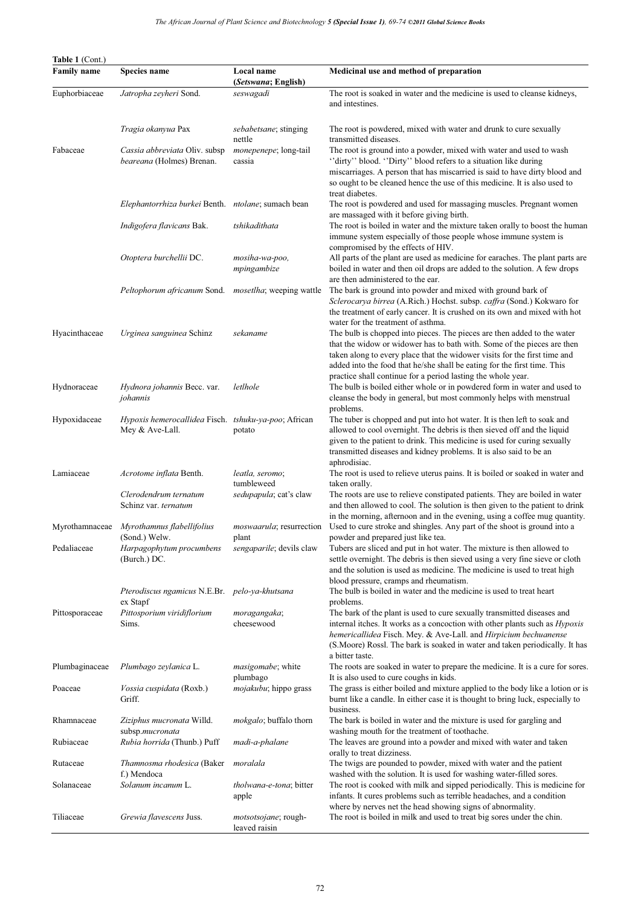| Table 1 (Cont.)    |                                                                         |                                               |                                                                                                                                                                                                                                                                                                                                                                                                                   |
|--------------------|-------------------------------------------------------------------------|-----------------------------------------------|-------------------------------------------------------------------------------------------------------------------------------------------------------------------------------------------------------------------------------------------------------------------------------------------------------------------------------------------------------------------------------------------------------------------|
| <b>Family name</b> | Species name                                                            | Local name<br>(Setswana; English)             | Medicinal use and method of preparation                                                                                                                                                                                                                                                                                                                                                                           |
| Euphorbiaceae      | Jatropha zeyheri Sond.                                                  | seswagadi                                     | The root is soaked in water and the medicine is used to cleanse kidneys,<br>and intestines.                                                                                                                                                                                                                                                                                                                       |
|                    | Tragia okanyua Pax                                                      | <i>sebabetsane</i> ; stinging<br>nettle       | The root is powdered, mixed with water and drunk to cure sexually<br>transmitted diseases.                                                                                                                                                                                                                                                                                                                        |
| Fabaceae           | Cassia abbreviata Oliv. subsp<br>beareana (Holmes) Brenan.              | monepenepe; long-tail<br>cassia               | The root is ground into a powder, mixed with water and used to wash<br>"dirty" blood. "Dirty" blood refers to a situation like during<br>miscarriages. A person that has miscarried is said to have dirty blood and<br>so ought to be cleaned hence the use of this medicine. It is also used to<br>treat diabetes.                                                                                               |
|                    | Elephantorrhiza burkei Benth. ntolane; sumach bean                      |                                               | The root is powdered and used for massaging muscles. Pregnant women<br>are massaged with it before giving birth.                                                                                                                                                                                                                                                                                                  |
|                    | Indigofera flavicans Bak.                                               | tshikadithata                                 | The root is boiled in water and the mixture taken orally to boost the human<br>immune system especially of those people whose immune system is<br>compromised by the effects of HIV.                                                                                                                                                                                                                              |
|                    | Otoptera burchellii DC.                                                 | mosiha-wa-poo,<br>mpingambize                 | All parts of the plant are used as medicine for earaches. The plant parts are<br>boiled in water and then oil drops are added to the solution. A few drops<br>are then administered to the ear.                                                                                                                                                                                                                   |
|                    | Peltophorum africanum Sond.                                             | <i>mosetlha</i> ; weeping wattle              | The bark is ground into powder and mixed with ground bark of<br>Sclerocarya birrea (A.Rich.) Hochst. subsp. caffra (Sond.) Kokwaro for<br>the treatment of early cancer. It is crushed on its own and mixed with hot                                                                                                                                                                                              |
| Hyacinthaceae      | Urginea sanguinea Schinz                                                | sekaname                                      | water for the treatment of asthma.<br>The bulb is chopped into pieces. The pieces are then added to the water<br>that the widow or widower has to bath with. Some of the pieces are then<br>taken along to every place that the widower visits for the first time and<br>added into the food that he/she shall be eating for the first time. This<br>practice shall continue for a period lasting the whole year. |
| Hydnoraceae        | <i>Hydnora johannis</i> Becc. var.<br>johannis                          | letlhole                                      | The bulb is boiled either whole or in powdered form in water and used to<br>cleanse the body in general, but most commonly helps with menstrual<br>problems.                                                                                                                                                                                                                                                      |
| Hypoxidaceae       | Hypoxis hemerocallidea Fisch. tshuku-ya-poo; African<br>Mey & Ave-Lall. | potato                                        | The tuber is chopped and put into hot water. It is then left to soak and<br>allowed to cool overnight. The debris is then sieved off and the liquid<br>given to the patient to drink. This medicine is used for curing sexually<br>transmitted diseases and kidney problems. It is also said to be an<br>aphrodisiac.                                                                                             |
| Lamiaceae          | Acrotome inflata Benth.                                                 | leatla, seromo;<br>tumbleweed                 | The root is used to relieve uterus pains. It is boiled or soaked in water and<br>taken orally.                                                                                                                                                                                                                                                                                                                    |
|                    | Clerodendrum ternatum<br>Schinz var. ternatum                           | sedupapula; cat's claw                        | The roots are use to relieve constipated patients. They are boiled in water<br>and then allowed to cool. The solution is then given to the patient to drink<br>in the morning, afternoon and in the evening, using a coffee mug quantity.                                                                                                                                                                         |
|                    | Myrothamnaceae <i>Myrothamnus flabellifolius</i><br>(Sond.) Welw.       | <i>moswaarula</i> ; resurrection<br>plant     | Used to cure stroke and shingles. Any part of the shoot is ground into a<br>powder and prepared just like tea.                                                                                                                                                                                                                                                                                                    |
| Pedaliaceae        | Harpagophytum procumbens<br>(Burch.) DC.                                | sengaparile; devils claw                      | Tubers are sliced and put in hot water. The mixture is then allowed to<br>settle overnight. The debris is then sieved using a very fine sieve or cloth<br>and the solution is used as medicine. The medicine is used to treat high<br>blood pressure, cramps and rheumatism.                                                                                                                                      |
|                    | Pterodiscus ngamicus N.E.Br. pelo-ya-khutsana<br>ex Stapf               |                                               | The bulb is boiled in water and the medicine is used to treat heart<br>problems.                                                                                                                                                                                                                                                                                                                                  |
| Pittosporaceae     | Pittosporium viridiflorium<br>Sims.                                     | moragangaka;<br>cheesewood                    | The bark of the plant is used to cure sexually transmitted diseases and<br>internal itches. It works as a concoction with other plants such as <i>Hypoxis</i><br>hemericallidea Fisch. Mey. & Ave-Lall. and Hirpicium bechuanense<br>(S.Moore) Rossl. The bark is soaked in water and taken periodically. It has<br>a bitter taste.                                                                               |
| Plumbaginaceae     | Plumbago zeylanica L.                                                   | masigomabe; white<br>plumbago                 | The roots are soaked in water to prepare the medicine. It is a cure for sores.<br>It is also used to cure coughs in kids.                                                                                                                                                                                                                                                                                         |
| Poaceae            | Vossia cuspidata (Roxb.)<br>Griff.                                      | mojakubu; hippo grass                         | The grass is either boiled and mixture applied to the body like a lotion or is<br>burnt like a candle. In either case it is thought to bring luck, especially to<br>business.                                                                                                                                                                                                                                     |
| Rhamnaceae         | Ziziphus mucronata Willd.<br>subsp.mucronata                            | mokgalo; buffalo thorn                        | The bark is boiled in water and the mixture is used for gargling and<br>washing mouth for the treatment of toothache.                                                                                                                                                                                                                                                                                             |
| Rubiaceae          | Rubia horrida (Thunb.) Puff                                             | madi-a-phalane                                | The leaves are ground into a powder and mixed with water and taken<br>orally to treat dizziness.                                                                                                                                                                                                                                                                                                                  |
| Rutaceae           | <i>Thamnosma rhodesica</i> (Baker<br>f.) Mendoca                        | moralala                                      | The twigs are pounded to powder, mixed with water and the patient<br>washed with the solution. It is used for washing water-filled sores.                                                                                                                                                                                                                                                                         |
| Solanaceae         | Solanum incanum L.                                                      | <i>tholwana-e-tona</i> ; bitter<br>apple      | The root is cooked with milk and sipped periodically. This is medicine for<br>infants. It cures problems such as terrible headaches, and a condition                                                                                                                                                                                                                                                              |
| Tiliaceae          | Grewia flavescens Juss.                                                 | <i>motsotsojane</i> ; rough-<br>leaved raisin | where by nerves net the head showing signs of abnormality.<br>The root is boiled in milk and used to treat big sores under the chin.                                                                                                                                                                                                                                                                              |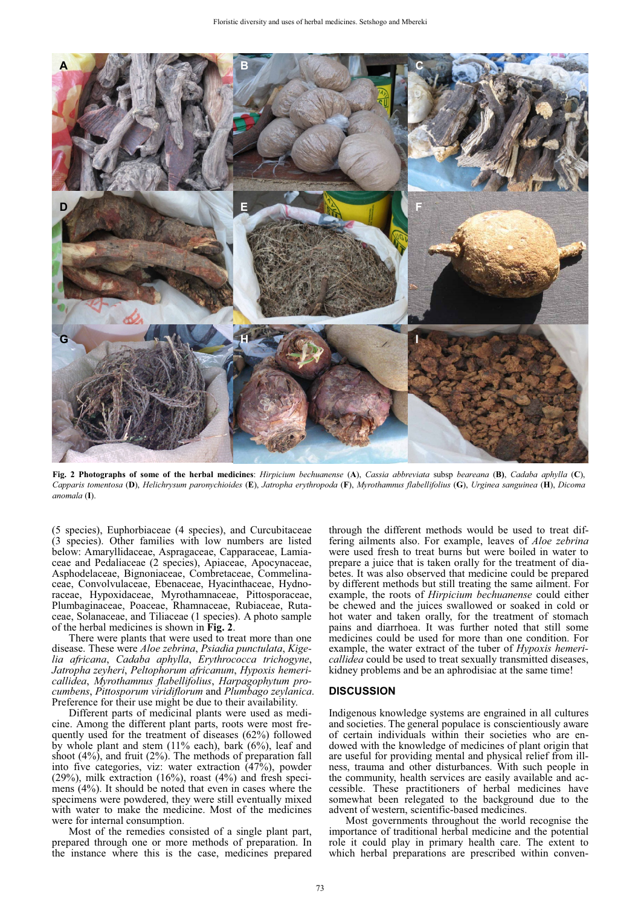

**Fig. 2 Photographs of some of the herbal medicines**: *Hirpicium bechuanense* (**A**), *Cassia abbreviata* subsp *beareana* (**B)**, *Cadaba aphylla* (**C**), *Capparis tomentosa* (**D**), *Helichrysum paronychioides* (**E**), *Jatropha erythropoda* (**F**), *Myrothamnus flabellifolius* (**G**), *Urginea sanguinea* (**H**), *Dicoma anomala* (**I**).

(5 species), Euphorbiaceae (4 species), and Curcubitaceae (3 species). Other families with low numbers are listed below: Amaryllidaceae, Aspragaceae, Capparaceae, Lamiaceae and Pedaliaceae (2 species), Apiaceae, Apocynaceae, Asphodelaceae, Bignoniaceae, Combretaceae, Commelinaceae, Convolvulaceae, Ebenaceae, Hyacinthaceae, Hydnoraceae, Hypoxidaceae, Myrothamnaceae, Pittosporaceae, Plumbaginaceae, Poaceae, Rhamnaceae, Rubiaceae, Rutaceae, Solanaceae, and Tiliaceae (1 species). A photo sample of the herbal medicines is shown in **Fig. 2**.

There were plants that were used to treat more than one disease. These were *Aloe zebrina*, *Psiadia punctulata*, *Kigelia africana*, *Cadaba aphylla*, *Erythrococca trichogyne*, *Jatropha zeyheri*, *Peltophorum africanum*, *Hypoxis hemericallidea*, *Myrothamnus flabellifolius*, *Harpagophytum procumbens*, *Pittosporum viridiflorum* and *Plumbago zeylanica*. Preference for their use might be due to their availability.

Different parts of medicinal plants were used as medicine. Among the different plant parts, roots were most frequently used for the treatment of diseases (62%) followed by whole plant and stem  $(11\%$  each), bark  $(6\%)$ , leaf and shoot (4%), and fruit (2%). The methods of preparation fall into five categories, viz: water extraction (47%), powder (29%), milk extraction (16%), roast (4%) and fresh specimens (4%). It should be noted that even in cases where the specimens were powdered, they were still eventually mixed with water to make the medicine. Most of the medicines were for internal consumption.

Most of the remedies consisted of a single plant part, prepared through one or more methods of preparation. In the instance where this is the case, medicines prepared through the different methods would be used to treat differing ailments also. For example, leaves of *Aloe zebrina* were used fresh to treat burns but were boiled in water to prepare a juice that is taken orally for the treatment of diabetes. It was also observed that medicine could be prepared by different methods but still treating the same ailment. For example, the roots of *Hirpicium bechuanense* could either be chewed and the juices swallowed or soaked in cold or hot water and taken orally, for the treatment of stomach pains and diarrhoea. It was further noted that still some medicines could be used for more than one condition. For example, the water extract of the tuber of *Hypoxis hemericallidea* could be used to treat sexually transmitted diseases, kidney problems and be an aphrodisiac at the same time!

### **DISCUSSION**

Indigenous knowledge systems are engrained in all cultures and societies. The general populace is conscientiously aware of certain individuals within their societies who are endowed with the knowledge of medicines of plant origin that are useful for providing mental and physical relief from illness, trauma and other disturbances. With such people in the community, health services are easily available and accessible. These practitioners of herbal medicines have somewhat been relegated to the background due to the advent of western, scientific-based medicines.

Most governments throughout the world recognise the importance of traditional herbal medicine and the potential role it could play in primary health care. The extent to which herbal preparations are prescribed within conven